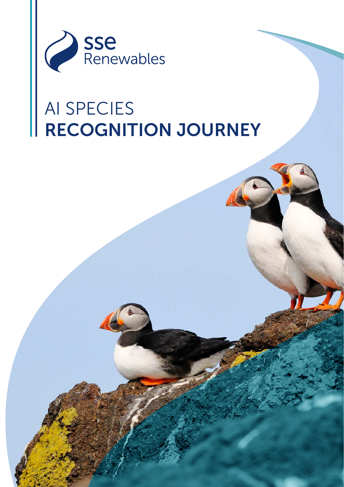

## AI SPECIES RECOGNITION JOURNEY

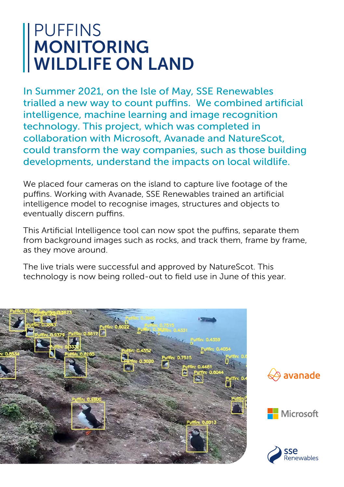## PUFFINS MONITORING WILDLIFE ON LAND

In Summer 2021, on the Isle of May, SSE Renewables trialled a new way to count puffins. We combined artificial intelligence, machine learning and image recognition technology. This project, which was completed in collaboration with Microsoft, Avanade and NatureScot, could transform the way companies, such as those building developments, understand the impacts on local wildlife.

We placed four cameras on the island to capture live footage of the puffins. Working with Avanade, SSE Renewables trained an artificial intelligence model to recognise images, structures and objects to eventually discern puffins.

This Artificial Intelligence tool can now spot the puffins, separate them from background images such as rocks, and track them, frame by frame, as they move around.

The live trials were successful and approved by NatureScot. This technology is now being rolled-out to field use in June of this year.







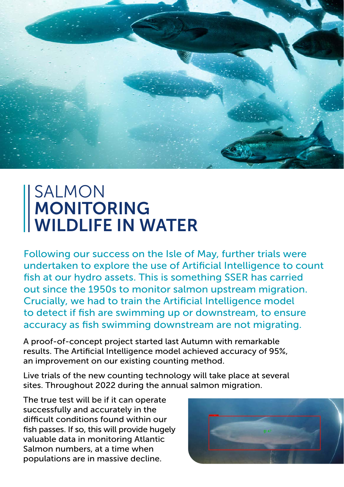

## SALMON MONITORING WILDLIFE IN WATER

Following our success on the Isle of May, further trials were undertaken to explore the use of Artificial Intelligence to count fish at our hydro assets. This is something SSER has carried out since the 1950s to monitor salmon upstream migration. Crucially, we had to train the Artificial Intelligence model to detect if fish are swimming up or downstream, to ensure accuracy as fish swimming downstream are not migrating.

A proof-of-concept project started last Autumn with remarkable results. The Artificial Intelligence model achieved accuracy of 95%, an improvement on our existing counting method.

Live trials of the new counting technology will take place at several sites. Throughout 2022 during the annual salmon migration.

The true test will be if it can operate successfully and accurately in the difficult conditions found within our fish passes. If so, this will provide hugely valuable data in monitoring Atlantic Salmon numbers, at a time when populations are in massive decline.